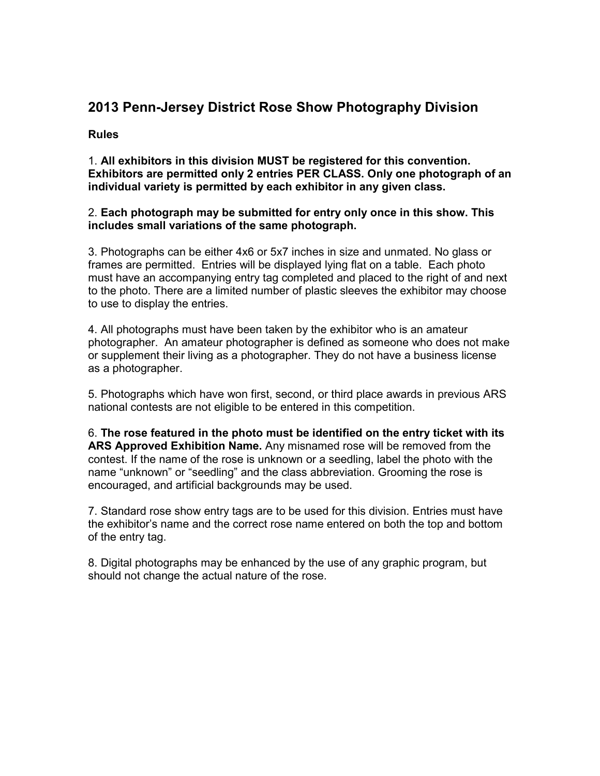# **2013 Penn-Jersey District Rose Show Photography Division**

#### **Rules**

1. **All exhibitors in this division MUST be registered for this convention. Exhibitors are permitted only 2 entries PER CLASS. Only one photograph of an individual variety is permitted by each exhibitor in any given class.** 

#### 2. **Each photograph may be submitted for entry only once in this show. This includes small variations of the same photograph.**

3. Photographs can be either 4x6 or 5x7 inches in size and unmated. No glass or frames are permitted. Entries will be displayed lying flat on a table. Each photo must have an accompanying entry tag completed and placed to the right of and next to the photo. There are a limited number of plastic sleeves the exhibitor may choose to use to display the entries.

4. All photographs must have been taken by the exhibitor who is an amateur photographer. An amateur photographer is defined as someone who does not make or supplement their living as a photographer. They do not have a business license as a photographer.

5. Photographs which have won first, second, or third place awards in previous ARS national contests are not eligible to be entered in this competition.

6. **The rose featured in the photo must be identified on the entry ticket with its ARS Approved Exhibition Name.** Any misnamed rose will be removed from the contest. If the name of the rose is unknown or a seedling, label the photo with the name "unknown" or "seedling" and the class abbreviation. Grooming the rose is encouraged, and artificial backgrounds may be used.

7. Standard rose show entry tags are to be used for this division. Entries must have the exhibitor's name and the correct rose name entered on both the top and bottom of the entry tag.

8. Digital photographs may be enhanced by the use of any graphic program, but should not change the actual nature of the rose.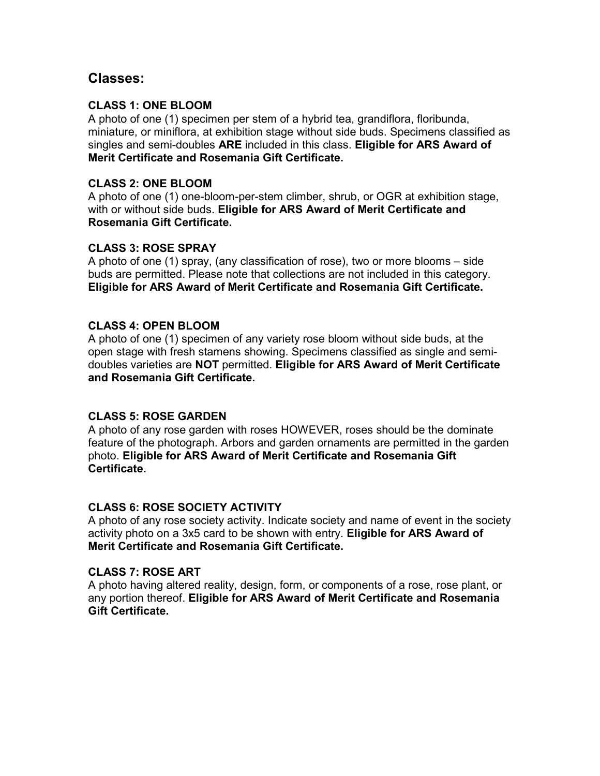# **Classes:**

### **CLASS 1: ONE BLOOM**

A photo of one (1) specimen per stem of a hybrid tea, grandiflora, floribunda, miniature, or miniflora, at exhibition stage without side buds. Specimens classified as singles and semi-doubles **ARE** included in this class. **Eligible for ARS Award of Merit Certificate and Rosemania Gift Certificate.**

## **CLASS 2: ONE BLOOM**

A photo of one (1) one-bloom-per-stem climber, shrub, or OGR at exhibition stage, with or without side buds. **Eligible for ARS Award of Merit Certificate and Rosemania Gift Certificate.**

## **CLASS 3: ROSE SPRAY**

A photo of one (1) spray, (any classification of rose), two or more blooms – side buds are permitted. Please note that collections are not included in this category. **Eligible for ARS Award of Merit Certificate and Rosemania Gift Certificate.**

### **CLASS 4: OPEN BLOOM**

A photo of one (1) specimen of any variety rose bloom without side buds, at the open stage with fresh stamens showing. Specimens classified as single and semidoubles varieties are **NOT** permitted. **Eligible for ARS Award of Merit Certificate and Rosemania Gift Certificate.**

### **CLASS 5: ROSE GARDEN**

A photo of any rose garden with roses HOWEVER, roses should be the dominate feature of the photograph. Arbors and garden ornaments are permitted in the garden photo. **Eligible for ARS Award of Merit Certificate and Rosemania Gift Certificate.**

### **CLASS 6: ROSE SOCIETY ACTIVITY**

A photo of any rose society activity. Indicate society and name of event in the society activity photo on a 3x5 card to be shown with entry. **Eligible for ARS Award of Merit Certificate and Rosemania Gift Certificate.**

### **CLASS 7: ROSE ART**

A photo having altered reality, design, form, or components of a rose, rose plant, or any portion thereof. **Eligible for ARS Award of Merit Certificate and Rosemania Gift Certificate.**